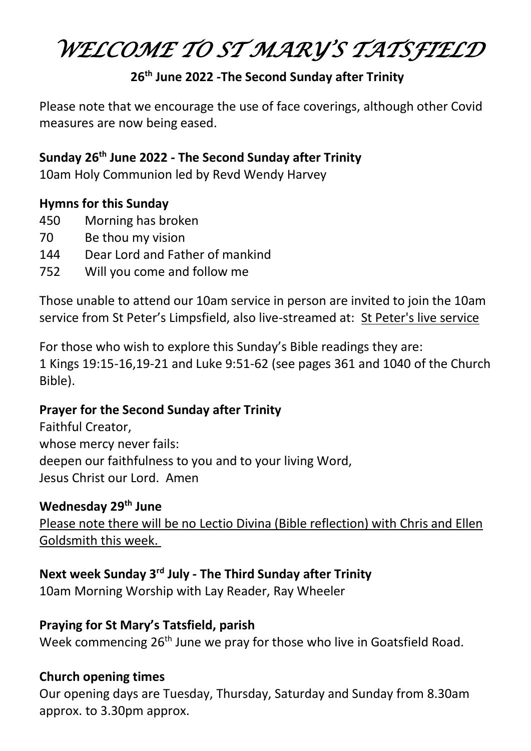# *WELCOME TO ST MARY'S TATSFIEL<sup>D</sup>*

## **26th June 2022 -The Second Sunday after Trinity**

Please note that we encourage the use of face coverings, although other Covid measures are now being eased.

## **Sunday 26th June 2022 - The Second Sunday after Trinity**

10am Holy Communion led by Revd Wendy Harvey

#### **Hymns for this Sunday**

- 450 Morning has broken
- 70 Be thou my vision
- 144 Dear Lord and Father of mankind
- 752 Will you come and follow me

Those unable to attend our 10am service in person are invited to join the 10am service from St Peter's Limpsfield, also live-streamed at: [St Peter's live service](https://lttm.us15.list-manage.com/track/click?u=a184f1f616d66a4d201795b50&id=a05aec923a&e=b9e78e6875)

For those who wish to explore this Sunday's Bible readings they are: 1 Kings 19:15-16,19-21 and Luke 9:51-62 (see pages 361 and 1040 of the Church Bible).

## **Prayer for the Second Sunday after Trinity**

Faithful Creator, whose mercy never fails: deepen our faithfulness to you and to your living Word, Jesus Christ our Lord. Amen

## **Wednesday 29th June**

Please note there will be no Lectio Divina (Bible reflection) with Chris and Ellen Goldsmith this week.

# **Next week Sunday 3 rd July - The Third Sunday after Trinity**

10am Morning Worship with Lay Reader, Ray Wheeler

## **Praying for St Mary's Tatsfield, parish**

Week commencing 26<sup>th</sup> June we pray for those who live in Goatsfield Road.

## **Church opening times**

Our opening days are Tuesday, Thursday, Saturday and Sunday from 8.30am approx. to 3.30pm approx.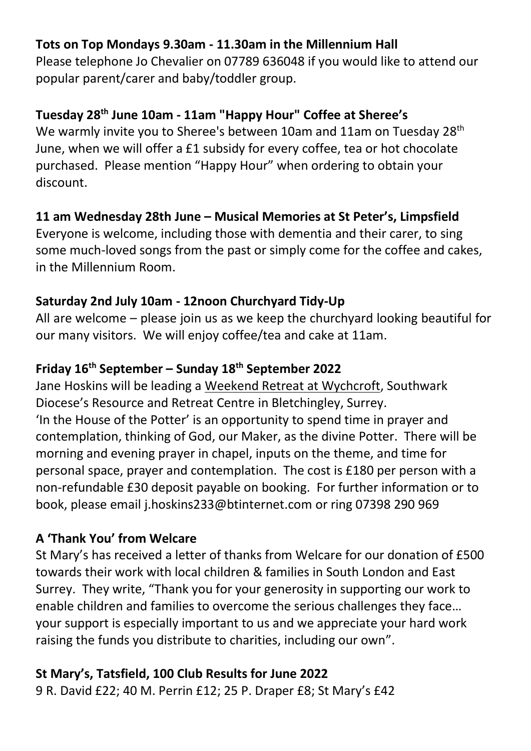## **Tots on Top Mondays 9.30am - 11.30am in the Millennium Hall**

Please telephone Jo Chevalier on 07789 636048 if you would like to attend our popular parent/carer and baby/toddler group.

## **Tuesday 28th June 10am - 11am "Happy Hour" Coffee at Sheree's**

We warmly invite you to Sheree's between 10am and 11am on Tuesday 28<sup>th</sup> June, when we will offer a £1 subsidy for every coffee, tea or hot chocolate purchased. Please mention "Happy Hour" when ordering to obtain your discount.

## **11 am Wednesday 28th June – Musical Memories at St Peter's, Limpsfield**

Everyone is welcome, including those with dementia and their carer, to sing some much-loved songs from the past or simply come for the coffee and cakes, in the Millennium Room.

## **Saturday 2nd July 10am - 12noon Churchyard Tidy-Up**

All are welcome – please join us as we keep the churchyard looking beautiful for our many visitors. We will enjoy coffee/tea and cake at 11am.

# **Friday 16th September – Sunday 18th September 2022**

Jane Hoskins will be leading a Weekend Retreat at Wychcroft, Southwark Diocese's Resource and Retreat Centre in Bletchingley, Surrey. 'In the House of the Potter' is an opportunity to spend time in prayer and contemplation, thinking of God, our Maker, as the divine Potter. There will be morning and evening prayer in chapel, inputs on the theme, and time for personal space, prayer and contemplation. The cost is £180 per person with a non-refundable £30 deposit payable on booking. For further information or to book, please email [j.hoskins233@btinternet.com](mailto:j.hoskins233@btinternet.com) or ring 07398 290 969

# **A 'Thank You' from Welcare**

St Mary's has received a letter of thanks from Welcare for our donation of £500 towards their work with local children & families in South London and East Surrey. They write, "Thank you for your generosity in supporting our work to enable children and families to overcome the serious challenges they face… your support is especially important to us and we appreciate your hard work raising the funds you distribute to charities, including our own".

# **St Mary's, Tatsfield, 100 Club Results for June 2022**

9 R. David £22; 40 M. Perrin £12; 25 P. Draper £8; St Mary's £42